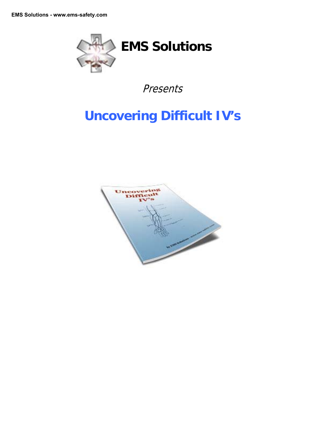

Presents

# **Uncovering Difficult IV's**

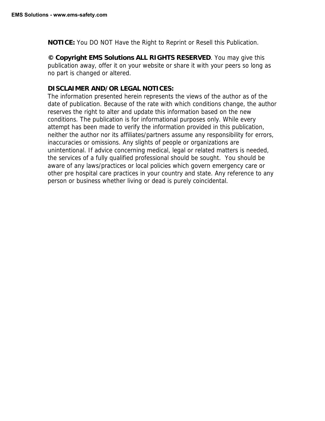**NOTICE:** You DO NOT Have the Right to Reprint or Resell this Publication.

**© Copyright EMS Solutions ALL RIGHTS RESERVED**. You may give this publication away, offer it on your website or share it with your peers so long as no part is changed or altered.

#### **DISCLAIMER AND/OR LEGAL NOTICES:**

The information presented herein represents the views of the author as of the date of publication. Because of the rate with which conditions change, the author reserves the right to alter and update this information based on the new conditions. The publication is for informational purposes only. While every attempt has been made to verify the information provided in this publication, neither the author nor its affiliates/partners assume any responsibility for errors, inaccuracies or omissions. Any slights of people or organizations are unintentional. If advice concerning medical, legal or related matters is needed, the services of a fully qualified professional should be sought. You should be aware of any laws/practices or local policies which govern emergency care or other pre hospital care practices in your country and state. Any reference to any person or business whether living or dead is purely coincidental.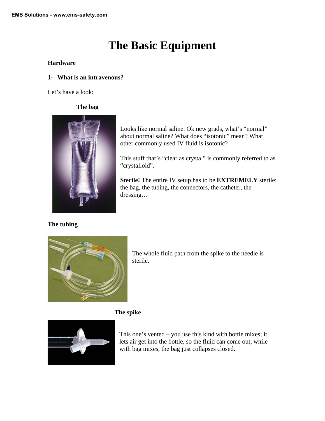# **The Basic Equipment**

### **Hardware**

### **1- What is an intravenous?**

Let's have a look:

# **The bag**



## **The tubing**

Looks like normal saline. Ok new grads, what's "normal" about normal saline? What does "isotonic" mean? What other commonly used IV fluid is isotonic?

This stuff that's "clear as crystal" is commonly referred to as "crystalloid".

**Sterile!** The entire IV setup has to be **EXTREMELY** sterile: the bag, the tubing, the connectors, the catheter, the dressing…

The whole fluid path from the spike to the needle is sterile.

## **The spike**



This one's vented – you use this kind with bottle mixes; it lets air get into the bottle, so the fluid can come out, while with bag mixes, the bag just collapses closed.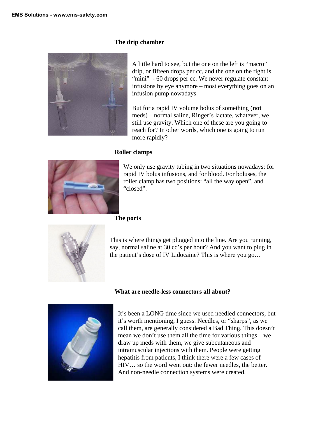#### **The drip chamber**



A little hard to see, but the one on the left is "macro" drip, or fifteen drops per cc, and the one on the right is "mini" - 60 drops per cc. We never regulate constant infusions by eye anymore – most everything goes on an infusion pump nowadays.

But for a rapid IV volume bolus of something (**not**  meds) – normal saline, Ringer's lactate, whatever, we still use gravity. Which one of these are you going to reach for? In other words, which one is going to run more rapidly?

#### **Roller clamps**



We only use gravity tubing in two situations nowadays: for rapid IV bolus infusions, and for blood. For boluses, the roller clamp has two positions: "all the way open", and "closed".

#### **The ports**



This is where things get plugged into the line. Are you running, say, normal saline at 30 cc's per hour? And you want to plug in the patient's dose of IV Lidocaine? This is where you go…

#### **What are needle-less connectors all about?**



It's been a LONG time since we used needled connectors, but it's worth mentioning, I guess. Needles, or "sharps", as we call them, are generally considered a Bad Thing. This doesn't mean we don't use them all the time for various things – we draw up meds with them, we give subcutaneous and intramuscular injections with them. People were getting hepatitis from patients, I think there were a few cases of HIV… so the word went out: the fewer needles, the better. And non-needle connection systems were created.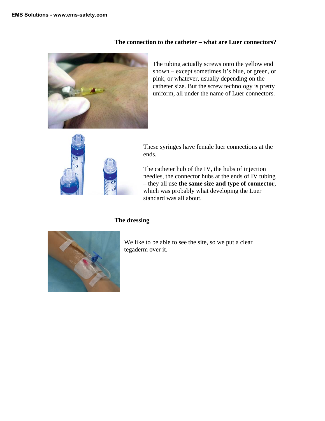

**The connection to the catheter – what are Luer connectors?** 

The tubing actually screws onto the yellow end shown – except sometimes it's blue, or green, or pink, or whatever, usually depending on the catheter size. But the screw technology is pretty uniform, all under the name of Luer connectors.



These syringes have female luer connections at the ends.

The catheter hub of the IV, the hubs of injection needles, the connector hubs at the ends of IV tubing – they all use **the same size and type of connector**, which was probably what developing the Luer standard was all about.

#### **The dressing**



We like to be able to see the site, so we put a clear tegaderm over it.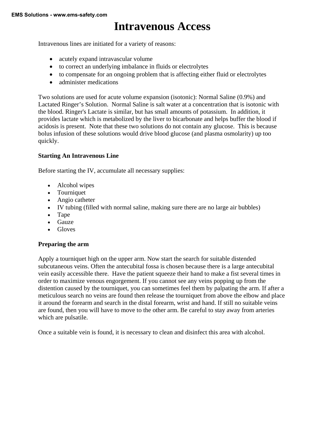# **Intravenous Access**

Intravenous lines are initiated for a variety of reasons:

- acutely expand intravascular volume
- to correct an underlying imbalance in fluids or electrolytes
- to compensate for an ongoing problem that is affecting either fluid or electrolytes
- administer medications

Two solutions are used for acute volume expansion (isotonic): Normal Saline (0.9%) and Lactated Ringer's Solution. Normal Saline is salt water at a concentration that is isotonic with the blood. Ringer's Lactate is similar, but has small amounts of potassium. In addition, it provides lactate which is metabolized by the liver to bicarbonate and helps buffer the blood if acidosis is present. Note that these two solutions do not contain any glucose. This is because bolus infusion of these solutions would drive blood glucose (and plasma osmolarity) up too quickly.

#### **Starting An Intravenous Line**

Before starting the IV, accumulate all necessary supplies:

- Alcohol wipes
- Tourniquet
- Angio catheter
- IV tubing (filled with normal saline, making sure there are no large air bubbles)
- Tape
- Gauze
- Gloves

#### **Preparing the arm**

Apply a tourniquet high on the upper arm. Now start the search for suitable distended subcutaneous veins. Often the antecubital fossa is chosen because there is a large antecubital vein easily accessible there. Have the patient squeeze their hand to make a fist several times in order to maximize venous engorgement. If you cannot see any veins popping up from the distention caused by the tourniquet, you can sometimes feel them by palpating the arm. If after a meticulous search no veins are found then release the tourniquet from above the elbow and place it around the forearm and search in the distal forearm, wrist and hand. If still no suitable veins are found, then you will have to move to the other arm. Be careful to stay away from arteries which are pulsatile.

Once a suitable vein is found, it is necessary to clean and disinfect this area with alcohol.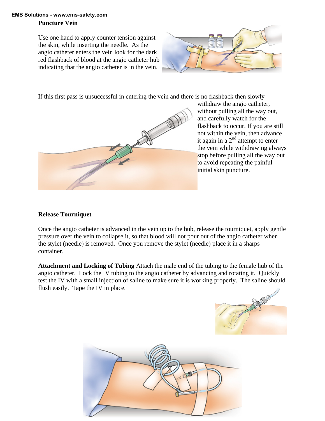## **EMS Solutions - www.ems-safety.com**

#### **Puncture Vein**

Use one hand to apply counter tension against the skin, while inserting the needle. As the angio catheter enters the vein look for the dark red flashback of blood at the angio catheter hub indicating that the angio catheter is in the vein.



If this first pass is unsuccessful in entering the vein and there is no flashback then slowly



withdraw the angio catheter, without pulling all the way out, and carefully watch for the flashback to occur. If you are still not within the vein, then advance it again in a  $2<sup>nd</sup>$  attempt to enter the vein while withdrawing a lways stop before pulling all the way out to avoid repeating the painful initial skin puncture.

## **Release Tourniquet**

Once the angio catheter is advanced in the vein up to the hub, release the tourniquet, apply gentle pressure over the vein to collapse it, so that blood will not pour out of the angio catheter when the stylet (needle) is removed. Once you remove the stylet (needle) place it in a sharps container.

**Attachment and Locking of Tubing** Attach the male end of the tubing to the female hub of the angio catheter. Lock the IV tubing to the angio catheter by advancing and rotating it. Quickly test the IV with a small injection of saline to make sure it is working properly. The saline should flush easily. Tape the IV in place.



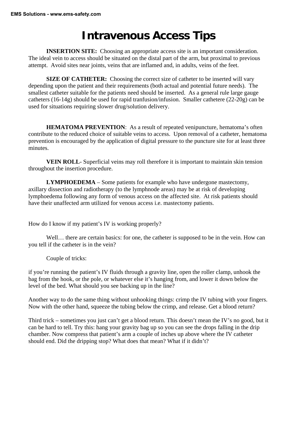# **Intravenous Access Tips**

**INSERTION SITE:** Choosing an appropriate access site is an important consideration. The ideal vein to access should be situated on the distal part of the arm, but proximal to previous attempt. Avoid sites near joints, veins that are inflamed and, in adults, veins of the feet.

**SIZE OF CATHETER:** Choosing the correct size of catheter to be inserted will vary depending upon the patient and their requirements (both actual and potential future needs). The smallest catheter suitable for the patients need should be inserted. As a general rule large gauge catheters (16-14g) should be used for rapid tranfusion/infusion. Smaller cathetere (22-20g) can be used for situations requiring slower drug/solution delivery.

**HEMATOMA PREVENTION**: As a result of repeated venipuncture, hematoma's often contribute to the reduced choice of suitable veins to access. Upon removal of a catheter, hematoma prevention is encouraged by the application of digital pressure to the puncture site for at least three minutes.

**VEIN ROLL**- Superficial veins may roll therefore it is important to maintain skin tension throughout the insertion procedure.

**LYMPHOEDEMA** – Some patients for example who have undergone mastectomy, axillary dissection and radiotherapy (to the lymphnode areas) may be at risk of developing lymphoedema following any form of venous access on the affected site. At risk patients should have their unaffected arm utilized for venous access i.e. mastectomy patients.

How do I know if my patient's IV is working properly?

Well... there are certain basics: for one, the catheter is supposed to be in the vein. How can you tell if the catheter is in the vein?

Couple of tricks:

if you're running the patient's IV fluids through a gravity line, open the roller clamp, unhook the bag from the hook, or the pole, or whatever else it's hanging from, and lower it down below the level of the bed. What should you see backing up in the line?

Another way to do the same thing without unhooking things: crimp the IV tubing with your fingers. Now with the other hand, squeeze the tubing below the crimp, and release. Get a blood return?

Third trick – sometimes you just can't get a blood return. This doesn't mean the IV's no good, but it can be hard to tell. Try this: hang your gravity bag up so you can see the drops falling in the drip chamber. Now compress that patient's arm a couple of inches up above where the IV catheter should end. Did the dripping stop? What does that mean? What if it didn't?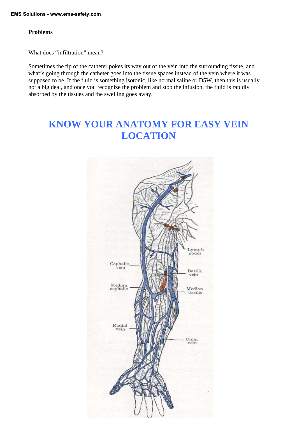#### **Problems**

What does "infiltration" mean?

Sometimes the tip of the catheter pokes its way out of the vein into the surrounding tissue, and what's going through the catheter goes into the tissue spaces instead of the vein where it was supposed to be. If the fluid is something isotonic, like normal saline or D5W, then this is usually not a big deal, and once you recognize the problem and stop the infusion, the fluid is rapidly absorbed by the tissues and the swelling goes away.

# **KNOW YOUR ANATOMY FOR EASY VEIN LOCATION**

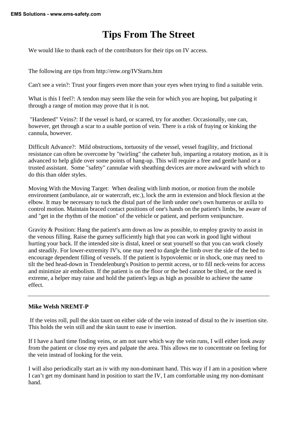# **Tips From The Street**

We would like to thank each of the contributors for their tips on IV access.

The following are tips from http://enw.org/IVStarts.htm

Can't see a vein?: Trust your fingers even more than your eyes when trying to find a suitable vein.

What is this I feel?: A tendon may seem like the vein for which you are hoping, but palpating it through a range of motion may prove that it is not.

 "Hardened" Veins?: If the vessel is hard, or scarred, try for another. Occasionally, one can, however, get through a scar to a usable portion of vein. There is a risk of fraying or kinking the cannula, however.

Difficult Advance?: Mild obstructions, tortuosity of the vessel, vessel fragility, and frictional resistance can often be overcome by "twirling" the catheter hub, imparting a rotatory motion, as it is advanced to help glide over some points of hang-up. This will require a free and gentle hand or a trusted assistant. Some "safety" cannulae with sheathing devices are more awkward with which to do this than older styles.

Moving With the Moving Target: When dealing with limb motion, or motion from the mobile environment (ambulance, air or watercraft, etc.), lock the arm in extension and block flexion at the elbow. It may be necessary to tuck the distal part of the limb under one's own humerus or axilla to control motion. Maintain braced contact positions of one's hands on the patient's limbs, be aware of and "get in the rhythm of the motion" of the vehicle or patient, and perform venipuncture.

Gravity & Position: Hang the patient's arm down as low as possible, to employ gravity to assist in the venous filling. Raise the gurney sufficiently high that you can work in good light without hurting your back. If the intended site is distal, kneel or seat yourself so that you can work closely and steadily. For lower-extremity IV's, one may need to dangle the limb over the side of the bed to encourage dependent filling of vessels. If the patient is hypovolemic or in shock, one may need to tilt the bed head-down in Trendelenburg's Position to permit access, or to fill neck-veins for access and minimize air embolism. If the patient is on the floor or the bed cannot be tilted, or the need is extreme, a helper may raise and hold the patient's legs as high as possible to achieve the same effect.

#### **Mike Welsh NREMT-P**

 If the veins roll, pull the skin taunt on either side of the vein instead of distal to the iv insertion site. This holds the vein still and the skin taunt to ease iv insertion.

If I have a hard time finding veins, or am not sure which way the vein runs, I will either look away from the patient or close my eyes and palpate the area. This allows me to concentrate on feeling for the vein instead of looking for the vein.

I will also periodically start an iv with my non-dominant hand. This way if I am in a position where I can't get my dominant hand in position to start the IV, I am comfortable using my non-dominant hand.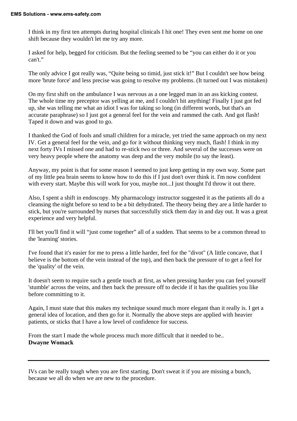I think in my first ten attempts during hospital clinicals I hit one! They even sent me home on one shift because they wouldn't let me try any more.

I asked for help, begged for criticism. But the feeling seemed to be "you can either do it or you can't."

The only advice I got really was, "Quite being so timid, just stick it!" But I couldn't see how being more 'brute force' and less precise was going to resolve my problems. (It turned out I was mistaken)

On my first shift on the ambulance I was nervous as a one legged man in an ass kicking contest. The whole time my preceptor was yelling at me, and I couldn't hit anything! Finally I just got fed up, she was telling me what an idiot I was for taking so long (in different words, but that's an accurate paraphrase) so I just got a general feel for the vein and rammed the cath. And got flash! Taped it down and was good to go.

I thanked the God of fools and small children for a miracle, yet tried the same approach on my next IV. Get a general feel for the vein, and go for it without thinking very much, flash! I think in my next forty IVs I missed one and had to re-stick two or three. And several of the successes were on very heavy people where the anatomy was deep and the very mobile (to say the least).

Anyway, my point is that for some reason I seemed to just keep getting in my own way. Some part of my little pea brain seems to know how to do this if I just don't over think it. I'm now confident with every start. Maybe this will work for you, maybe not...I just thought I'd throw it out there.

Also, I spent a shift in endoscopy. My pharmacology instructor suggested it as the patients all do a cleansing the night before so tend to be a bit dehydrated. The theory being they are a little harder to stick, but you're surrounded by nurses that successfully stick them day in and day out. It was a great experience and very helpful.

I'll bet you'll find it will "just come together" all of a sudden. That seems to be a common thread to the 'learning' stories.

I've found that it's easier for me to press a little harder, feel for the "divot" (A little concave, that I believe is the bottom of the vein instead of the top), and then back the pressure of to get a feel for the 'quality' of the vein.

It doesn't seem to require such a gentle touch at first, as when pressing harder you can feel yourself 'stumble' across the veins, and then back the pressure off to decide if it has the qualities you like before committing to it.

Again, I must state that this makes my technique sound much more elegant than it really is. I get a general idea of location, and then go for it. Normally the above steps are applied with heavier patients, or sticks that I have a low level of confidence for success.

From the start I made the whole process much more difficult that it needed to be.. **Dwayne Womack**

IVs can be really tough when you are first starting. Don't sweat it if you are missing a bunch, because we all do when we are new to the procedure.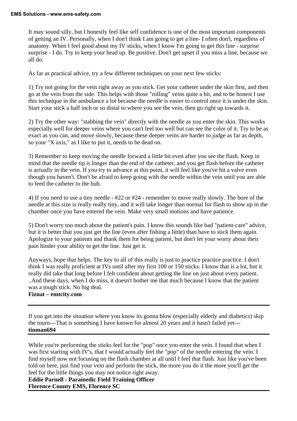It may sound silly, but I honestly feel like self confidence is one of the most important components of getting an IV. Personally, when I don't think I am going to get a line- I often don't, regardless of anatomy. When I feel good about my IV sticks, when I know I'm going to get this line - surprise surprise - I do. Try to keep your head up. Be positive. Don't get upset if you miss a line, because we all do.

As far as practical advice, try a few different techniques on your next few sticks:

1) Try not going for the vein right away as you stick. Get your catheter under the skin first, and then go at the vein from the side. This helps with those "rolling" veins quite a bit, and to be honest I use this technique in the ambulance a lot because the needle is easier to control once it is under the skin. Start your stick a half inch or so distal to where you see the vein, then go right up towards it.

2) Try the other way: "stabbing the vein" directly with the needle as you enter the skin. This works especially well for deeper veins where you can't feel too well but can see the color of it. Try to be as exact as you can, and move slowly, because these deeper veins are harder to judge as far as depth, so your "X axis," as I like to put it, needs to be dead on.

3) Remember to keep moving the needle forward a little bit even after you see the flash. Keep in mind that the needle tip is longer than the end of the catheter, and you get flash before the catheter is actually in the vein. If you try to advance at this point, it will feel like you've hit a valve even though you haven't. Don't be afraid to keep going with the needle within the vein until you are able to feed the catheter to the hub.

4) If you need to use a tiny needle - #22 or #24 - remember to move really slowly. The bore of the needle at this size is really really tiny, and it will take longer than normal for flash to show up in the chamber once you have entered the vein. Make very small motions and have patience.

5) Don't worry too much about the patient's pain. I know this sounds like bad "patient-care" advice, but it is better that you just get the line (even after fishing a little) than have to stick them again. Apologize to your patients and thank them for being patient, but don't let your worry about their pain hinder your ability to get the line. Just get it.

Anyways, hope that helps. The key to all of this really is just to practice practice practice. I don't think I was really proficient at IVs until after my first 100 or 150 sticks. I know that is a lot, but it really did take that long before I felt confident about getting the line on just about every patient. ..And these days, when I do miss, it doesn't bother me that much because I know that the patient was a tough stick. No big deal.

**Fiznat – emtcity.com** 

If you get into the situation where you know its gonna blow (especially elderly and diabetics) skip the tourn---That is something I have known for almost 20 years and it hasn't failed yet-- **tinman694** 

While you're performing the sticks feel for the "pop" once you enter the vein. I found that when I was first starting with IV's, that I would actually feel the "pop" of the needle entering the vein. I find myself now not focusing on the flash chamber at all until I feel that flash. Just like you've been told on here, just find your vein and perform the stick, the more you do it the more you'll get the feel for the little things you may not notice right away.

**Eddie Parnell - Paramedic Field Training Officer Florence County EMS, Florence SC**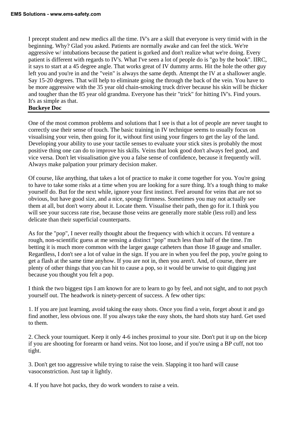I precept student and new medics all the time. IV's are a skill that everyone is very timid with in the beginning. Why? Glad you asked. Patients are normally awake and can feel the stick. We're aggressive w/ intubations because the patient is gorked and don't realize what we're doing. Every patient is different with regards to IV's. What I've seen a lot of people do is "go by the book". IIRC, it says to start at a 45 degree angle. That works great of IV dummy arms. Hit the hole the other guy left you and you're in and the "vein" is always the same depth. Attempt the IV at a shallower angle. Say 15-20 degrees. That will help to eliminate going the through the back of the vein. You have to be more aggressive with the 35 year old chain-smoking truck driver because his skin will be thicker and tougher than the 85 year old grandma. Everyone has their "trick" for hitting IV's. Find yours. It's as simple as that.

#### **Buckeye Doc**

One of the most common problems and solutions that I see is that a lot of people are never taught to correctly use their sense of touch. The basic training in IV technique seems to usually focus on visualising your vein, then going for it, without first using your fingers to get the lay of the land. Developing your ability to use your tactile senses to evaluate your stick sites is probably the most positive thing one can do to improve his skills. Veins that look good don't always feel good, and vice versa. Don't let visualisation give you a false sense of confidence, because it frequently will. Always make palpation your primary decision maker.

Of course, like anything, that takes a lot of practice to make it come together for you. You're going to have to take some risks at a time when you are looking for a sure thing. It's a tough thing to make yourself do. But for the next while, ignore your first instinct. Feel around for veins that are not so obvious, but have good size, and a nice, spongy firmness. Sometimes you may not actually see them at all, but don't worry about it. Locate them. Visualise their path, then go for it. I think you will see your success rate rise, because those veins are generally more stable (less roll) and less delicate than their superficial counterparts.

As for the "pop", I never really thought about the frequency with which it occurs. I'd venture a rough, non-scientific guess at me sensing a distinct "pop" much less than half of the time. I'm betting it is much more common with the larger gauge catheters than those 18 gauge and smaller. Regardless, I don't see a lot of value in the sign. If you are in when you feel the pop, you're going to get a flash at the same time anyhow. If you are not in, then you aren't. And, of course, there are plenty of other things that you can hit to cause a pop, so it would be unwise to quit digging just because you thought you felt a pop.

I think the two biggest tips I am known for are to learn to go by feel, and not sight, and to not psych yourself out. The headwork is ninety-percent of success. A few other tips:

1. If you are just learning, avoid taking the easy shots. Once you find a vein, forget about it and go find another, less obvious one. If you always take the easy shots, the hard shots stay hard. Get used to them.

2. Check your tourniquet. Keep it only 4-6 inches proximal to your site. Don't put it up on the bicep if you are shooting for forearm or hand veins. Not too loose, and if you're using a BP cuff, not too tight.

3. Don't get too aggressive while trying to raise the vein. Slapping it too hard will cause vasoconstriction. Just tap it lightly.

4. If you have hot packs, they do work wonders to raise a vein.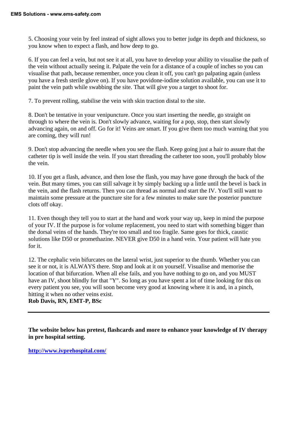5. Choosing your vein by feel instead of sight allows you to better judge its depth and thickness, so you know when to expect a flash, and how deep to go.

6. If you can feel a vein, but not see it at all, you have to develop your ability to visualise the path of the vein without actually seeing it. Palpate the vein for a distance of a couple of inches so you can visualise that path, because remember, once you clean it off, you can't go palpating again (unless you have a fresh sterile glove on). If you have povidone-iodine solution available, you can use it to paint the vein path while swabbing the site. That will give you a target to shoot for.

7. To prevent rolling, stabilise the vein with skin traction distal to the site.

8. Don't be tentative in your venipuncture. Once you start inserting the needle, go straight on through to where the vein is. Don't slowly advance, waiting for a pop, stop, then start slowly advancing again, on and off. Go for it! Veins are smart. If you give them too much warning that you are coming, they will run!

9. Don't stop advancing the needle when you see the flash. Keep going just a hair to assure that the catheter tip is well inside the vein. If you start threading the catheter too soon, you'll probably blow the vein.

10. If you get a flash, advance, and then lose the flash, you may have gone through the back of the vein. But many times, you can still salvage it by simply backing up a little until the bevel is back in the vein, and the flash returns. Then you can thread as normal and start the IV. You'll still want to maintain some pressure at the puncture site for a few minutes to make sure the posterior puncture clots off okay.

11. Even though they tell you to start at the hand and work your way up, keep in mind the purpose of your IV. If the purpose is for volume replacement, you need to start with something bigger than the dorsal veins of the hands. They're too small and too fragile. Same goes for thick, caustic solutions like D50 or promethazine. NEVER give D50 in a hand vein. Your patient will hate you for it.

12. The cephalic vein bifurcates on the lateral wrist, just superior to the thumb. Whether you can see it or not, it is ALWAYS there. Stop and look at it on yourself. Visualise and memorise the location of that bifurcation. When all else fails, and you have nothing to go on, and you MUST have an IV, shoot blindly for that "Y". So long as you have spent a lot of time looking for this on every patient you see, you will soon become very good at knowing where it is and, in a pinch, hitting it when no other veins exist.

**Rob Davis, RN, EMT-P, BSc** 

**The website below has pretest, flashcards and more to enhance your knowledge of IV therapy in pre hospital setting.** 

**[http://www.ivprehospital.com/](http://ivprehospital.com)**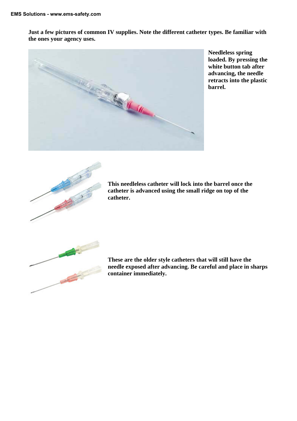**Just a few pictures of common IV supplies. Note the different catheter types. Be familiar with the ones your agency uses.** 



**Needleless spring loaded. By pressing the white button tab after advancing, the needle retracts into the plastic barrel.** 



**This needleless catheter will lock into the barrel once the catheter is advanced using the small ridge on top of the catheter.** 



**These are the older style catheters that will still have the needle exposed after advancing. Be careful and place in sharps container immediately.**